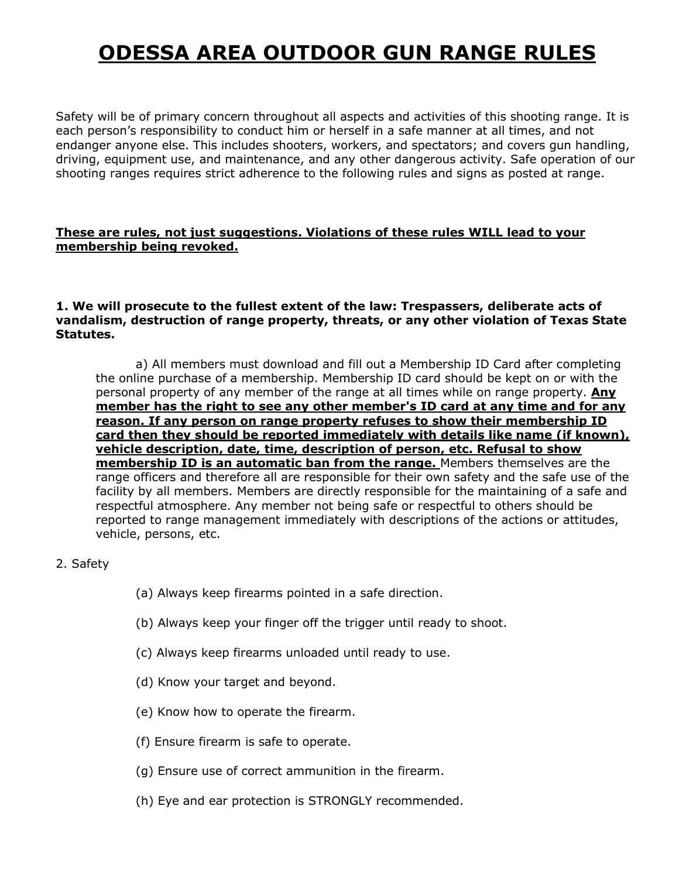## **ODESSA AREA OUTDOOR GUN RANGE RULES**

Safety will be of primary concern throughout all aspects and activities of this shooting range. It is each person's responsibility to conduct him or herself in a safe manner at all times, and not endanger anyone else. This includes shooters, workers, and spectators; and covers gun handling, driving, equipment use, and maintenance, and any other dangerous activity. Safe operation of our shooting ranges requires strict adherence to the following rules and signs as posted at range.

#### **These are rules, not just suggestions. Violations of these rules WILL lead to your membership being revoked.**

#### **1. We will prosecute to the fullest extent of the law: Trespassers, deliberate acts of vandalism, destruction of range property, threats, or any other violation of Texas State Statutes.**

a) All members must download and fill out a Membership ID Card after completing the online purchase of a membership. Membership ID card should be kept on or with the personal property of any member of the range at all times while on range property. **Any member has the right to see any other member's ID card at any time and for any reason. If any person on range property refuses to show their membership ID card then they should be reported immediately with details like name (if known), vehicle description, date, time, description of person, etc. Refusal to show membership ID is an automatic ban from the range.** Members themselves are the range officers and therefore all are responsible for their own safety and the safe use of the facility by all members. Members are directly responsible for the maintaining of a safe and respectful atmosphere. Any member not being safe or respectful to others should be reported to range management immediately with descriptions of the actions or attitudes, vehicle, persons, etc.

#### 2. Safety

- (a) Always keep firearms pointed in a safe direction.
- (b) Always keep your finger off the trigger until ready to shoot.
- (c) Always keep firearms unloaded until ready to use.
- (d) Know your target and beyond.
- (e) Know how to operate the firearm.
- (f) Ensure firearm is safe to operate.
- (g) Ensure use of correct ammunition in the firearm.
- (h) Eye and ear protection is STRONGLY recommended.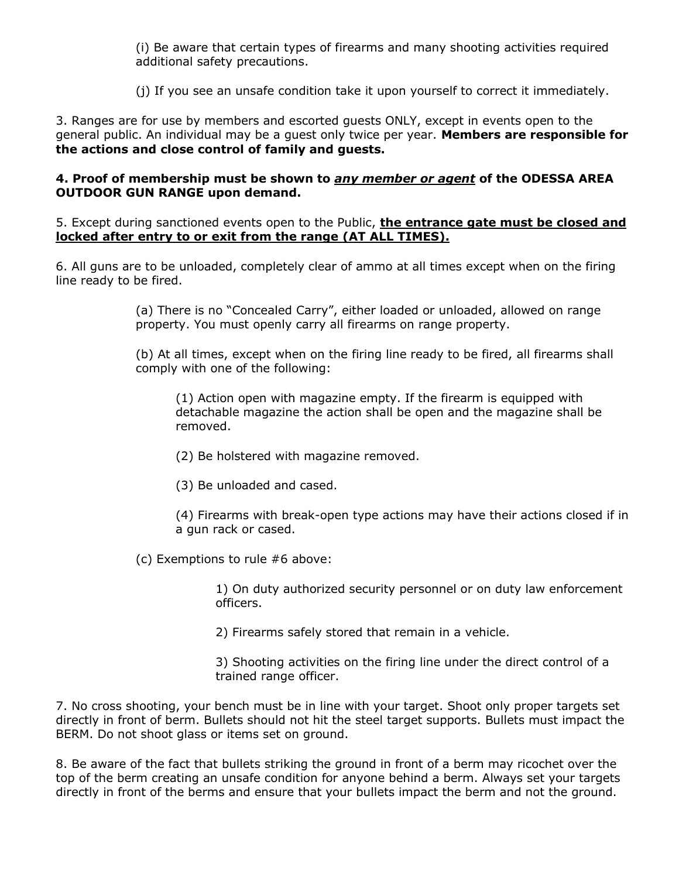(i) Be aware that certain types of firearms and many shooting activities required additional safety precautions.

(j) If you see an unsafe condition take it upon yourself to correct it immediately.

3. Ranges are for use by members and escorted guests ONLY, except in events open to the general public. An individual may be a guest only twice per year. **Members are responsible for the actions and close control of family and guests.**

#### **4. Proof of membership must be shown to** *any member or agent* **of the ODESSA AREA OUTDOOR GUN RANGE upon demand.**

5. Except during sanctioned events open to the Public, **the entrance gate must be closed and locked after entry to or exit from the range (AT ALL TIMES).**

6. All guns are to be unloaded, completely clear of ammo at all times except when on the firing line ready to be fired.

> (a) There is no "Concealed Carry", either loaded or unloaded, allowed on range property. You must openly carry all firearms on range property.

(b) At all times, except when on the firing line ready to be fired, all firearms shall comply with one of the following:

(1) Action open with magazine empty. If the firearm is equipped with detachable magazine the action shall be open and the magazine shall be removed.

- (2) Be holstered with magazine removed.
- (3) Be unloaded and cased.

(4) Firearms with break-open type actions may have their actions closed if in a gun rack or cased.

(c) Exemptions to rule #6 above:

1) On duty authorized security personnel or on duty law enforcement officers.

2) Firearms safely stored that remain in a vehicle.

3) Shooting activities on the firing line under the direct control of a trained range officer.

7. No cross shooting, your bench must be in line with your target. Shoot only proper targets set directly in front of berm. Bullets should not hit the steel target supports. Bullets must impact the BERM. Do not shoot glass or items set on ground.

8. Be aware of the fact that bullets striking the ground in front of a berm may ricochet over the top of the berm creating an unsafe condition for anyone behind a berm. Always set your targets directly in front of the berms and ensure that your bullets impact the berm and not the ground.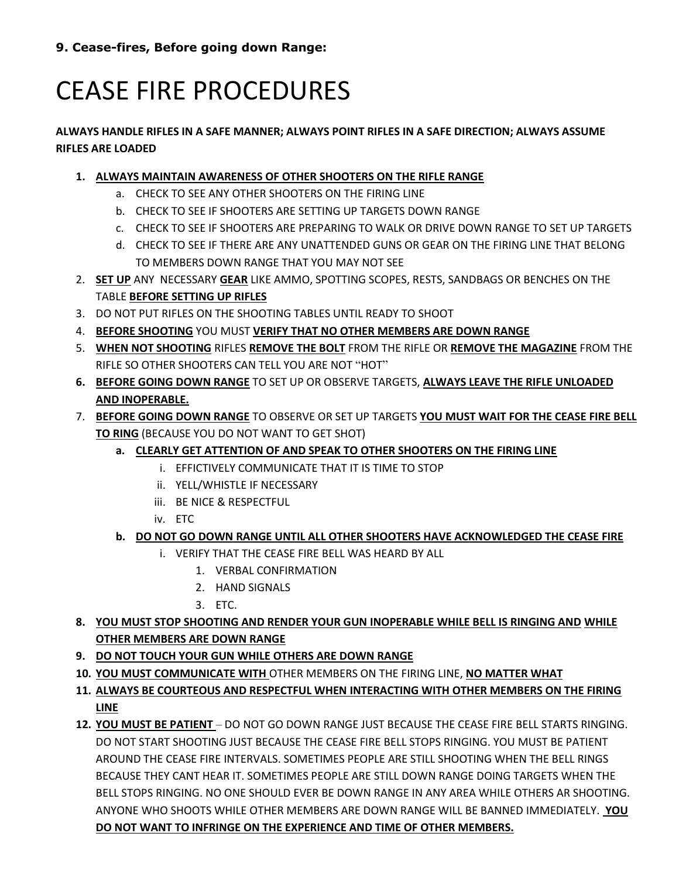**9. Cease-fires, Before going down Range:**

# CEASE FIRE PROCEDURES

#### **ALWAYS HANDLE RIFLES IN A SAFE MANNER; ALWAYS POINT RIFLES IN A SAFE DIRECTION; ALWAYS ASSUME RIFLES ARE LOADED**

- **1. ALWAYS MAINTAIN AWARENESS OF OTHER SHOOTERS ON THE RIFLE RANGE**
	- a. CHECK TO SEE ANY OTHER SHOOTERS ON THE FIRING LINE
	- b. CHECK TO SEE IF SHOOTERS ARE SETTING UP TARGETS DOWN RANGE
	- c. CHECK TO SEE IF SHOOTERS ARE PREPARING TO WALK OR DRIVE DOWN RANGE TO SET UP TARGETS
	- d. CHECK TO SEE IF THERE ARE ANY UNATTENDED GUNS OR GEAR ON THE FIRING LINE THAT BELONG TO MEMBERS DOWN RANGE THAT YOU MAY NOT SEE
- 2. **SET UP** ANY NECESSARY **GEAR** LIKE AMMO, SPOTTING SCOPES, RESTS, SANDBAGS OR BENCHES ON THE TABLE **BEFORE SETTING UP RIFLES**
- 3. DO NOT PUT RIFLES ON THE SHOOTING TABLES UNTIL READY TO SHOOT
- 4. **BEFORE SHOOTING** YOU MUST **VERIFY THAT NO OTHER MEMBERS ARE DOWN RANGE**
- 5. **WHEN NOT SHOOTING** RIFLES **REMOVE THE BOLT** FROM THE RIFLE OR **REMOVE THE MAGAZINE** FROM THE RIFLE SO OTHER SHOOTERS CAN TELL YOU ARE NOT "HOT"
- **6. BEFORE GOING DOWN RANGE** TO SET UP OR OBSERVE TARGETS, **ALWAYS LEAVE THE RIFLE UNLOADED AND INOPERABLE.**
- 7. **BEFORE GOING DOWN RANGE** TO OBSERVE OR SET UP TARGETS **YOU MUST WAIT FOR THE CEASE FIRE BELL TO RING** (BECAUSE YOU DO NOT WANT TO GET SHOT)
	- **a. CLEARLY GET ATTENTION OF AND SPEAK TO OTHER SHOOTERS ON THE FIRING LINE**
		- i. EFFICTIVELY COMMUNICATE THAT IT IS TIME TO STOP
		- ii. YELL/WHISTLE IF NECESSARY
		- iii. BE NICE & RESPECTFUL
		- iv. ETC

#### **b. DO NOT GO DOWN RANGE UNTIL ALL OTHER SHOOTERS HAVE ACKNOWLEDGED THE CEASE FIRE**

- i. VERIFY THAT THE CEASE FIRE BELL WAS HEARD BY ALL
	- 1. VERBAL CONFIRMATION
	- 2. HAND SIGNALS
	- 3. ETC.
- **8. YOU MUST STOP SHOOTING AND RENDER YOUR GUN INOPERABLE WHILE BELL IS RINGING AND WHILE OTHER MEMBERS ARE DOWN RANGE**
- **9. DO NOT TOUCH YOUR GUN WHILE OTHERS ARE DOWN RANGE**
- **10. YOU MUST COMMUNICATE WITH** OTHER MEMBERS ON THE FIRING LINE, **NO MATTER WHAT**
- **11. ALWAYS BE COURTEOUS AND RESPECTFUL WHEN INTERACTING WITH OTHER MEMBERS ON THE FIRING LINE**
- **12. YOU MUST BE PATIENT**  DO NOT GO DOWN RANGE JUST BECAUSE THE CEASE FIRE BELL STARTS RINGING. DO NOT START SHOOTING JUST BECAUSE THE CEASE FIRE BELL STOPS RINGING. YOU MUST BE PATIENT AROUND THE CEASE FIRE INTERVALS. SOMETIMES PEOPLE ARE STILL SHOOTING WHEN THE BELL RINGS BECAUSE THEY CANT HEAR IT. SOMETIMES PEOPLE ARE STILL DOWN RANGE DOING TARGETS WHEN THE BELL STOPS RINGING. NO ONE SHOULD EVER BE DOWN RANGE IN ANY AREA WHILE OTHERS AR SHOOTING. ANYONE WHO SHOOTS WHILE OTHER MEMBERS ARE DOWN RANGE WILL BE BANNED IMMEDIATELY. **YOU DO NOT WANT TO INFRINGE ON THE EXPERIENCE AND TIME OF OTHER MEMBERS.**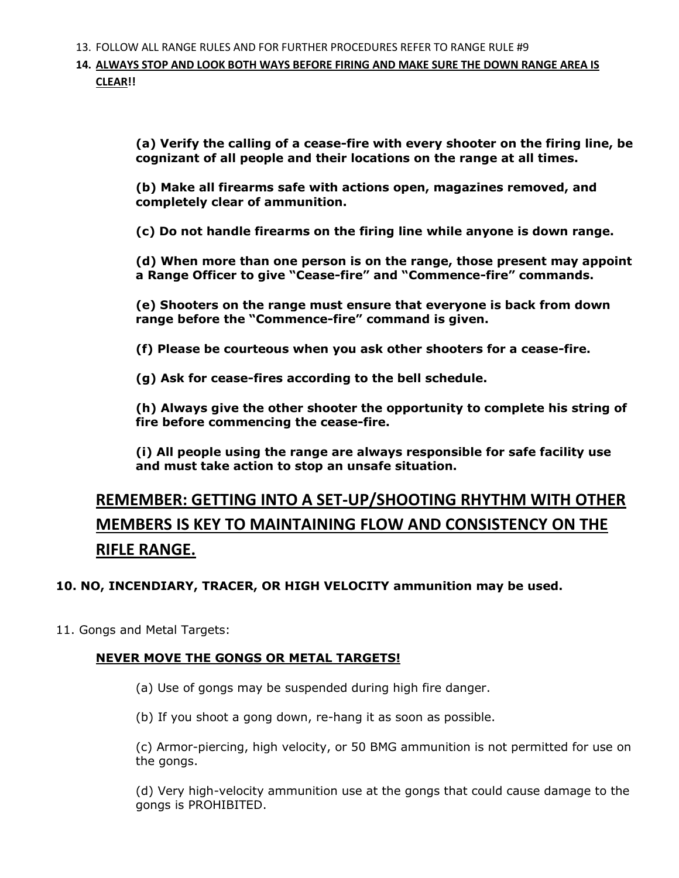13. FOLLOW ALL RANGE RULES AND FOR FURTHER PROCEDURES REFER TO RANGE RULE #9

**14. ALWAYS STOP AND LOOK BOTH WAYS BEFORE FIRING AND MAKE SURE THE DOWN RANGE AREA IS CLEAR!!**

> **(a) Verify the calling of a cease-fire with every shooter on the firing line, be cognizant of all people and their locations on the range at all times.**

**(b) Make all firearms safe with actions open, magazines removed, and completely clear of ammunition.**

**(c) Do not handle firearms on the firing line while anyone is down range.**

**(d) When more than one person is on the range, those present may appoint a Range Officer to give "Cease-fire" and "Commence-fire" commands.**

**(e) Shooters on the range must ensure that everyone is back from down range before the "Commence-fire" command is given.**

**(f) Please be courteous when you ask other shooters for a cease-fire.**

**(g) Ask for cease-fires according to the bell schedule.**

**(h) Always give the other shooter the opportunity to complete his string of fire before commencing the cease-fire.**

**(i) All people using the range are always responsible for safe facility use and must take action to stop an unsafe situation.**

### **REMEMBER: GETTING INTO A SET-UP/SHOOTING RHYTHM WITH OTHER MEMBERS IS KEY TO MAINTAINING FLOW AND CONSISTENCY ON THE RIFLE RANGE.**

#### **10. NO, INCENDIARY, TRACER, OR HIGH VELOCITY ammunition may be used.**

11. Gongs and Metal Targets:

#### **NEVER MOVE THE GONGS OR METAL TARGETS!**

(a) Use of gongs may be suspended during high fire danger.

(b) If you shoot a gong down, re-hang it as soon as possible.

(c) Armor-piercing, high velocity, or 50 BMG ammunition is not permitted for use on the gongs.

(d) Very high-velocity ammunition use at the gongs that could cause damage to the gongs is PROHIBITED.